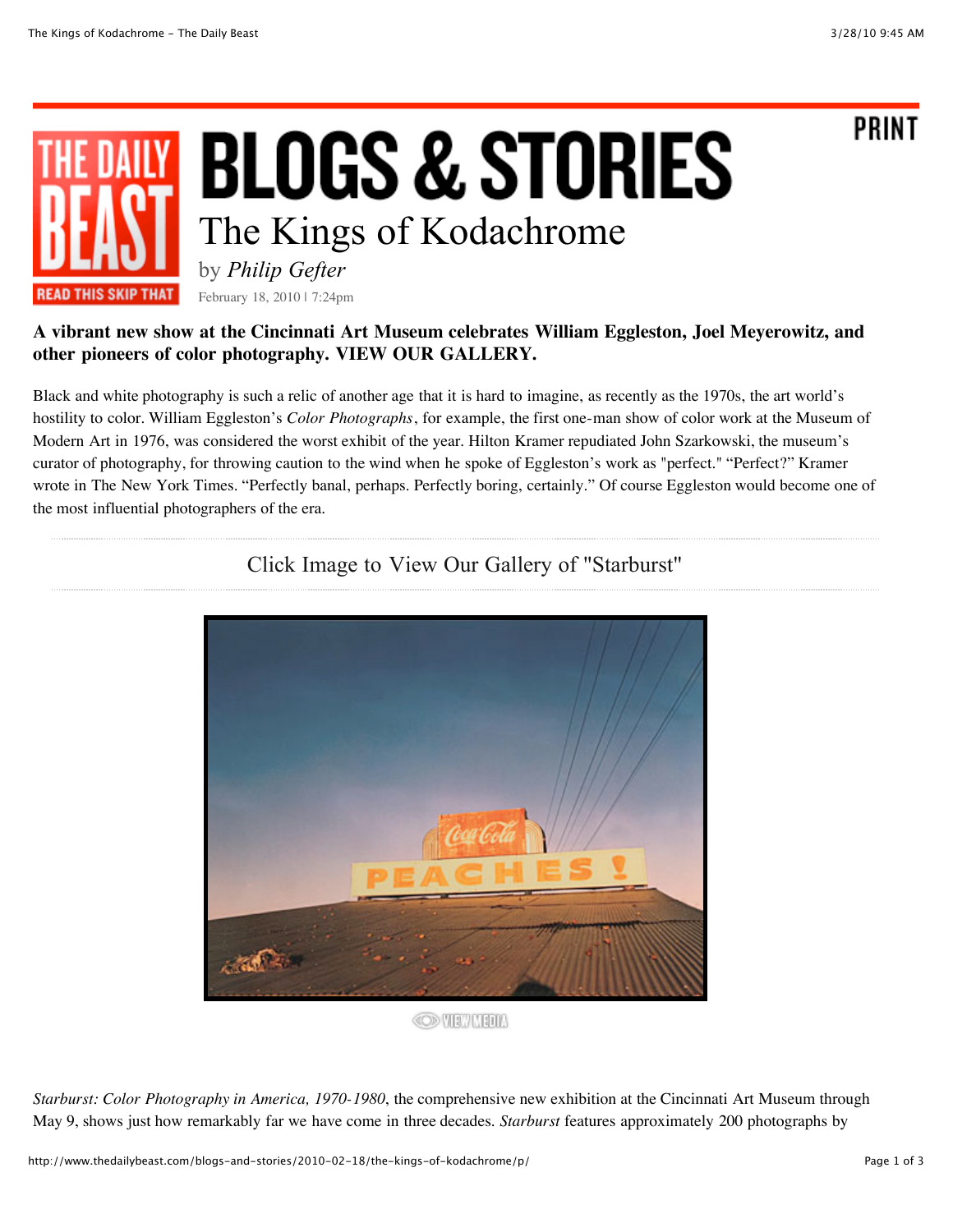**PRINT** 

## **BLOGS & STORIES** The Kings of Kodachrome by *Philip Gefter*

**READ THIS SKIP THAT** February 18, 2010 | 7:24pm

## **A vibrant new show at the Cincinnati Art Museum celebrates William Eggleston, Joel Meyerowitz, and other pioneers of color photography. VIEW OUR GALLERY.**

Black and white photography is such a relic of another age that it is hard to imagine, as recently as the 1970s, the art world's hostility to color. William Eggleston's *Color Photographs*, for example, the first one-man show of color work at the Museum of Modern Art in 1976, was considered the worst exhibit of the year. Hilton Kramer repudiated John Szarkowski, the museum's curator of photography, for throwing caution to the wind when he spoke of Eggleston's work as "perfect." "Perfect?" Kramer wrote in The New York Times. "Perfectly banal, perhaps. Perfectly boring, certainly." Of course Eggleston would become one of the most influential photographers of the era.



## Click Image to View Our Gallery of "Starburst"

**OD VIEW MEDIA** 

*Starburst: Color Photography in America, 1970-1980*, the comprehensive new exhibition at the Cincinnati Art Museum through May 9, shows just how remarkably far we have come in three decades. *Starburst* features approximately 200 photographs by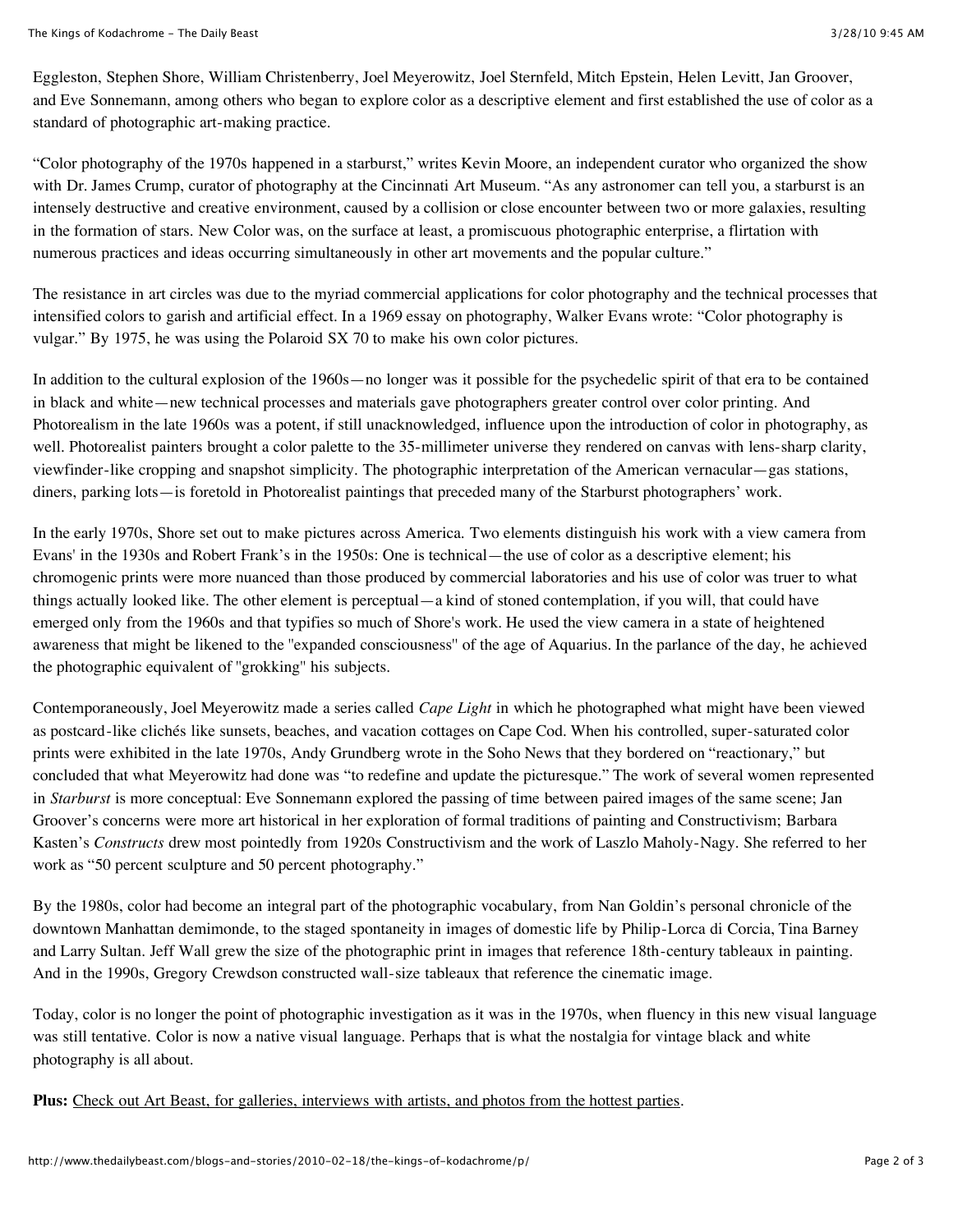Eggleston, Stephen Shore, William Christenberry, Joel Meyerowitz, Joel Sternfeld, Mitch Epstein, Helen Levitt, Jan Groover, and Eve Sonnemann, among others who began to explore color as a descriptive element and first established the use of color as a standard of photographic art-making practice.

"Color photography of the 1970s happened in a starburst," writes Kevin Moore, an independent curator who organized the show with Dr. James Crump, curator of photography at the Cincinnati Art Museum. "As any astronomer can tell you, a starburst is an intensely destructive and creative environment, caused by a collision or close encounter between two or more galaxies, resulting in the formation of stars. New Color was, on the surface at least, a promiscuous photographic enterprise, a flirtation with numerous practices and ideas occurring simultaneously in other art movements and the popular culture."

The resistance in art circles was due to the myriad commercial applications for color photography and the technical processes that intensified colors to garish and artificial effect. In a 1969 essay on photography, Walker Evans wrote: "Color photography is vulgar." By 1975, he was using the Polaroid SX 70 to make his own color pictures.

In addition to the cultural explosion of the 1960s—no longer was it possible for the psychedelic spirit of that era to be contained in black and white—new technical processes and materials gave photographers greater control over color printing. And Photorealism in the late 1960s was a potent, if still unacknowledged, influence upon the introduction of color in photography, as well. Photorealist painters brought a color palette to the 35-millimeter universe they rendered on canvas with lens-sharp clarity, viewfinder-like cropping and snapshot simplicity. The photographic interpretation of the American vernacular—gas stations, diners, parking lots—is foretold in Photorealist paintings that preceded many of the Starburst photographers' work.

In the early 1970s, Shore set out to make pictures across America. Two elements distinguish his work with a view camera from Evans' in the 1930s and Robert Frank's in the 1950s: One is technical—the use of color as a descriptive element; his chromogenic prints were more nuanced than those produced by commercial laboratories and his use of color was truer to what things actually looked like. The other element is perceptual—a kind of stoned contemplation, if you will, that could have emerged only from the 1960s and that typifies so much of Shore's work. He used the view camera in a state of heightened awareness that might be likened to the ''expanded consciousness'' of the age of Aquarius. In the parlance of the day, he achieved the photographic equivalent of ''grokking'' his subjects.

Contemporaneously, Joel Meyerowitz made a series called *Cape Light* in which he photographed what might have been viewed as postcard-like clichés like sunsets, beaches, and vacation cottages on Cape Cod. When his controlled, super-saturated color prints were exhibited in the late 1970s, Andy Grundberg wrote in the Soho News that they bordered on "reactionary," but concluded that what Meyerowitz had done was "to redefine and update the picturesque." The work of several women represented in *Starburst* is more conceptual: Eve Sonnemann explored the passing of time between paired images of the same scene; Jan Groover's concerns were more art historical in her exploration of formal traditions of painting and Constructivism; Barbara Kasten's *Constructs* drew most pointedly from 1920s Constructivism and the work of Laszlo Maholy-Nagy. She referred to her work as "50 percent sculpture and 50 percent photography."

By the 1980s, color had become an integral part of the photographic vocabulary, from Nan Goldin's personal chronicle of the downtown Manhattan demimonde, to the staged spontaneity in images of domestic life by Philip-Lorca di Corcia, Tina Barney and Larry Sultan. Jeff Wall grew the size of the photographic print in images that reference 18th-century tableaux in painting. And in the 1990s, Gregory Crewdson constructed wall-size tableaux that reference the cinematic image.

Today, color is no longer the point of photographic investigation as it was in the 1970s, when fluency in this new visual language was still tentative. Color is now a native visual language. Perhaps that is what the nostalgia for vintage black and white photography is all about.

**Plus:** Check out Art Beast, for galleries, [interviews](http://www.thedailybeast.com/newsmaker/art-and-photography) with artists, and photos from the hottest parties.